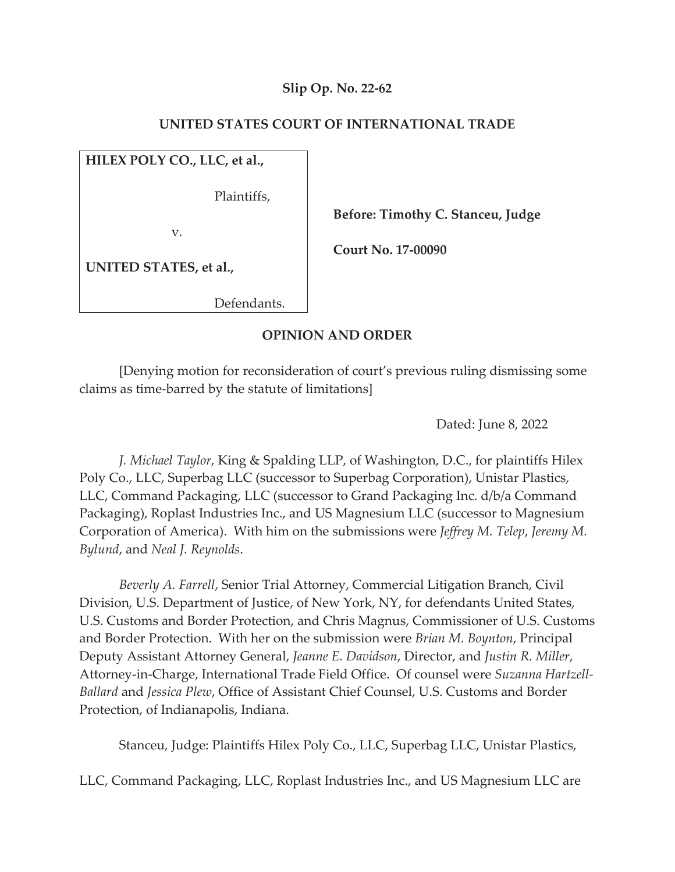# **Slip Op. No. 22-62**

### **UNITED STATES COURT OF INTERNATIONAL TRADE**

## **HILEX POLY CO., LLC, et al.,**

Plaintiffs,

v.

 **Before: Timothy C. Stanceu, Judge** 

 **Court No. 17-00090** 

**UNITED STATES, et al.,** 

Defendants.

### **OPINION AND ORDER**

[Denying motion for reconsideration of court's previous ruling dismissing some claims as time-barred by the statute of limitations]

Dated: June 8, 2022

*J. Michael Taylor*, King & Spalding LLP, of Washington, D.C., for plaintiffs Hilex Poly Co., LLC, Superbag LLC (successor to Superbag Corporation), Unistar Plastics, LLC, Command Packaging, LLC (successor to Grand Packaging Inc. d/b/a Command Packaging), Roplast Industries Inc., and US Magnesium LLC (successor to Magnesium Corporation of America). With him on the submissions were *Jeffrey M. Telep*, *Jeremy M. Bylund*, and *Neal J. Reynolds*.

*Beverly A. Farrell*, Senior Trial Attorney, Commercial Litigation Branch, Civil Division, U.S. Department of Justice, of New York, NY, for defendants United States, U.S. Customs and Border Protection, and Chris Magnus, Commissioner of U.S. Customs and Border Protection. With her on the submission were *Brian M. Boynton*, Principal Deputy Assistant Attorney General, *Jeanne E. Davidson*, Director, and *Justin R. Miller*, Attorney-in-Charge, International Trade Field Office. Of counsel were *Suzanna Hartzell-Ballard* and *Jessica Plew*, Office of Assistant Chief Counsel, U.S. Customs and Border Protection, of Indianapolis, Indiana.

Stanceu, Judge: Plaintiffs Hilex Poly Co., LLC, Superbag LLC, Unistar Plastics,

LLC, Command Packaging, LLC, Roplast Industries Inc., and US Magnesium LLC are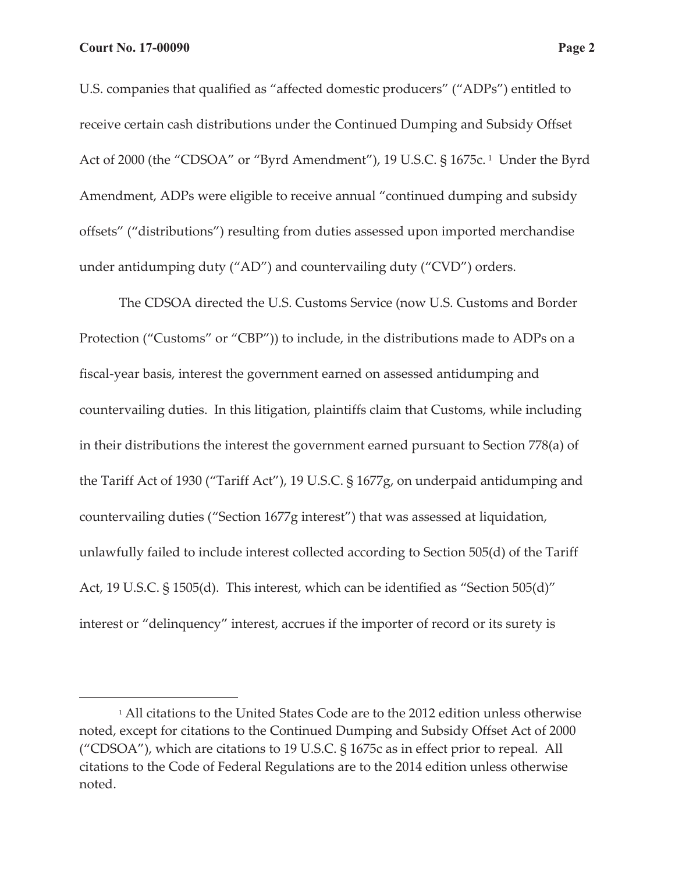U.S. companies that qualified as "affected domestic producers" ("ADPs") entitled to receive certain cash distributions under the Continued Dumping and Subsidy Offset Act of 2000 (the "CDSOA" or "Byrd Amendment"), 19 U.S.C. § 1675c.<sup>1</sup> Under the Byrd Amendment, ADPs were eligible to receive annual "continued dumping and subsidy offsets" ("distributions") resulting from duties assessed upon imported merchandise under antidumping duty ("AD") and countervailing duty ("CVD") orders.

The CDSOA directed the U.S. Customs Service (now U.S. Customs and Border Protection ("Customs" or "CBP")) to include, in the distributions made to ADPs on a fiscal-year basis, interest the government earned on assessed antidumping and countervailing duties. In this litigation, plaintiffs claim that Customs, while including in their distributions the interest the government earned pursuant to Section 778(a) of the Tariff Act of 1930 ("Tariff Act"), 19 U.S.C. § 1677g, on underpaid antidumping and countervailing duties ("Section 1677g interest") that was assessed at liquidation, unlawfully failed to include interest collected according to Section 505(d) of the Tariff Act, 19 U.S.C. § 1505(d). This interest, which can be identified as "Section 505(d)" interest or "delinquency" interest, accrues if the importer of record or its surety is

<sup>&</sup>lt;sup>1</sup> All citations to the United States Code are to the 2012 edition unless otherwise noted, except for citations to the Continued Dumping and Subsidy Offset Act of 2000 ("CDSOA"), which are citations to 19 U.S.C. § 1675c as in effect prior to repeal. All citations to the Code of Federal Regulations are to the 2014 edition unless otherwise noted.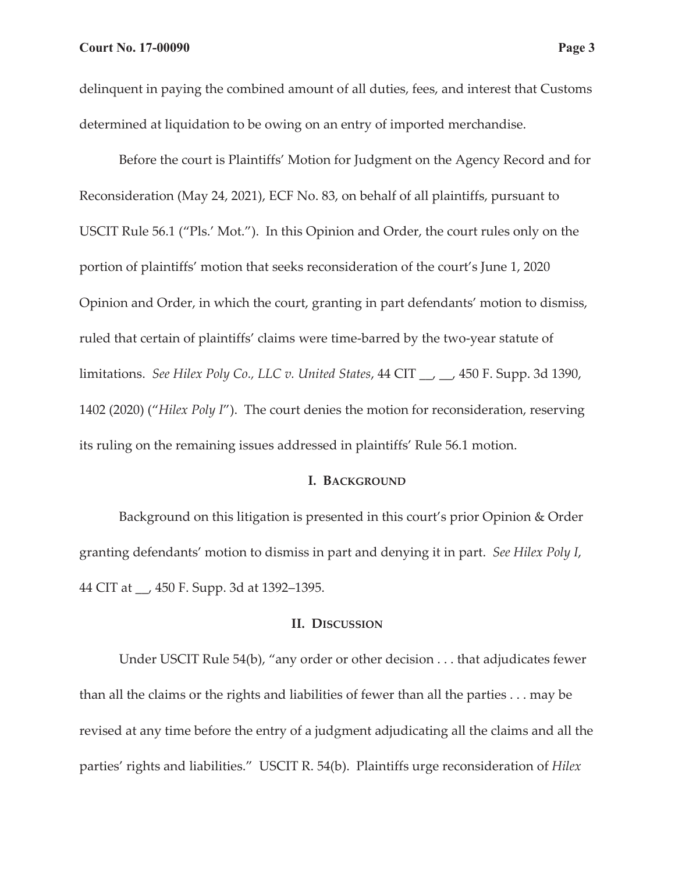Before the court is Plaintiffs' Motion for Judgment on the Agency Record and for Reconsideration (May 24, 2021), ECF No. 83, on behalf of all plaintiffs, pursuant to USCIT Rule 56.1 ("Pls.' Mot."). In this Opinion and Order, the court rules only on the portion of plaintiffs' motion that seeks reconsideration of the court's June 1, 2020 Opinion and Order, in which the court, granting in part defendants' motion to dismiss, ruled that certain of plaintiffs' claims were time-barred by the two-year statute of limitations. *See Hilex Poly Co., LLC v. United States*, 44 CIT \_\_, \_\_, 450 F. Supp. 3d 1390, 1402 (2020) ("*Hilex Poly I*"). The court denies the motion for reconsideration, reserving its ruling on the remaining issues addressed in plaintiffs' Rule 56.1 motion.

#### **I. BACKGROUND**

Background on this litigation is presented in this court's prior Opinion & Order granting defendants' motion to dismiss in part and denying it in part. *See Hilex Poly I*, 44 CIT at \_\_, 450 F. Supp. 3d at 1392–1395.

#### **II. DISCUSSION**

Under USCIT Rule 54(b), "any order or other decision . . . that adjudicates fewer than all the claims or the rights and liabilities of fewer than all the parties . . . may be revised at any time before the entry of a judgment adjudicating all the claims and all the parties' rights and liabilities." USCIT R. 54(b). Plaintiffs urge reconsideration of *Hilex*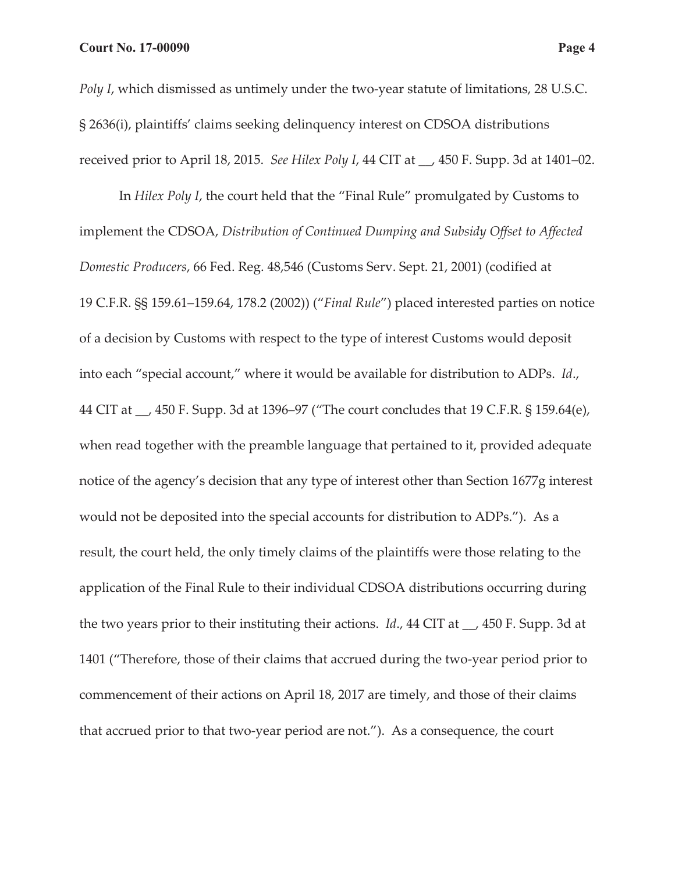*Poly I*, which dismissed as untimely under the two-year statute of limitations, 28 U.S.C. § 2636(i), plaintiffs' claims seeking delinquency interest on CDSOA distributions received prior to April 18, 2015. *See Hilex Poly I*, 44 CIT at \_\_, 450 F. Supp. 3d at 1401–02.

In *Hilex Poly I*, the court held that the "Final Rule" promulgated by Customs to implement the CDSOA, *Distribution of Continued Dumping and Subsidy Offset to Affected Domestic Producers*, 66 Fed. Reg. 48,546 (Customs Serv. Sept. 21, 2001) (codified at 19 C.F.R. §§ 159.61–159.64, 178.2 (2002)) ("*Final Rule*") placed interested parties on notice of a decision by Customs with respect to the type of interest Customs would deposit into each "special account," where it would be available for distribution to ADPs. *Id*., 44 CIT at \_\_, 450 F. Supp. 3d at 1396–97 ("The court concludes that 19 C.F.R. § 159.64(e), when read together with the preamble language that pertained to it, provided adequate notice of the agency's decision that any type of interest other than Section 1677g interest would not be deposited into the special accounts for distribution to ADPs."). As a result, the court held, the only timely claims of the plaintiffs were those relating to the application of the Final Rule to their individual CDSOA distributions occurring during the two years prior to their instituting their actions. *Id*., 44 CIT at \_\_, 450 F. Supp. 3d at 1401 ("Therefore, those of their claims that accrued during the two-year period prior to commencement of their actions on April 18, 2017 are timely, and those of their claims that accrued prior to that two-year period are not."). As a consequence, the court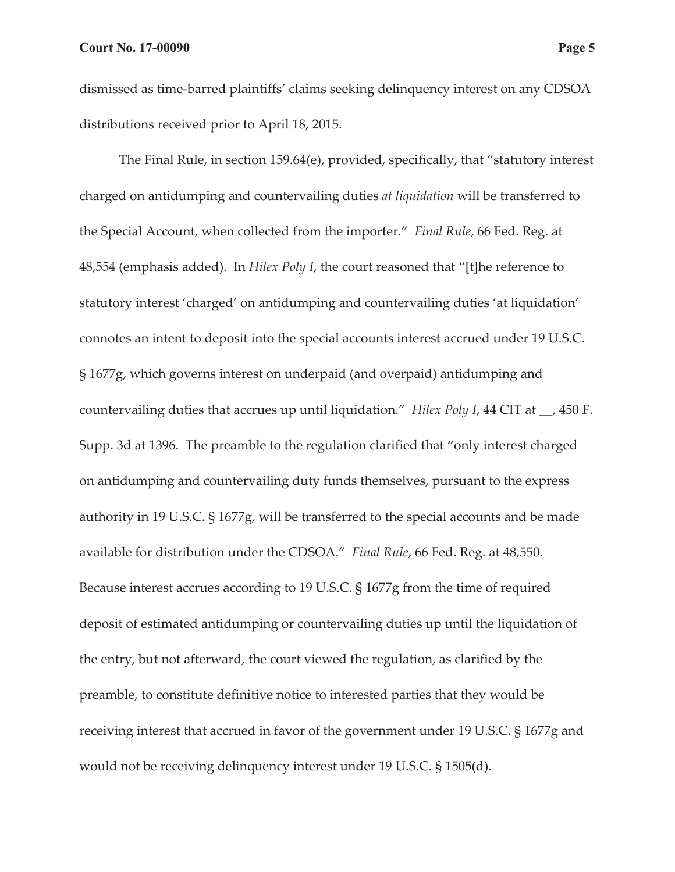dismissed as time-barred plaintiffs' claims seeking delinquency interest on any CDSOA distributions received prior to April 18, 2015.

The Final Rule, in section 159.64(e), provided, specifically, that "statutory interest charged on antidumping and countervailing duties *at liquidation* will be transferred to the Special Account, when collected from the importer." *Final Rule*, 66 Fed. Reg. at 48,554 (emphasis added). In *Hilex Poly I*, the court reasoned that "[t]he reference to statutory interest 'charged' on antidumping and countervailing duties 'at liquidation' connotes an intent to deposit into the special accounts interest accrued under 19 U.S.C. § 1677g, which governs interest on underpaid (and overpaid) antidumping and countervailing duties that accrues up until liquidation." *Hilex Poly I*, 44 CIT at \_\_, 450 F. Supp. 3d at 1396. The preamble to the regulation clarified that "only interest charged on antidumping and countervailing duty funds themselves, pursuant to the express authority in 19 U.S.C. § 1677g, will be transferred to the special accounts and be made available for distribution under the CDSOA." *Final Rule*, 66 Fed. Reg. at 48,550. Because interest accrues according to 19 U.S.C. § 1677g from the time of required deposit of estimated antidumping or countervailing duties up until the liquidation of the entry, but not afterward, the court viewed the regulation, as clarified by the preamble, to constitute definitive notice to interested parties that they would be receiving interest that accrued in favor of the government under 19 U.S.C. § 1677g and would not be receiving delinquency interest under 19 U.S.C. § 1505(d).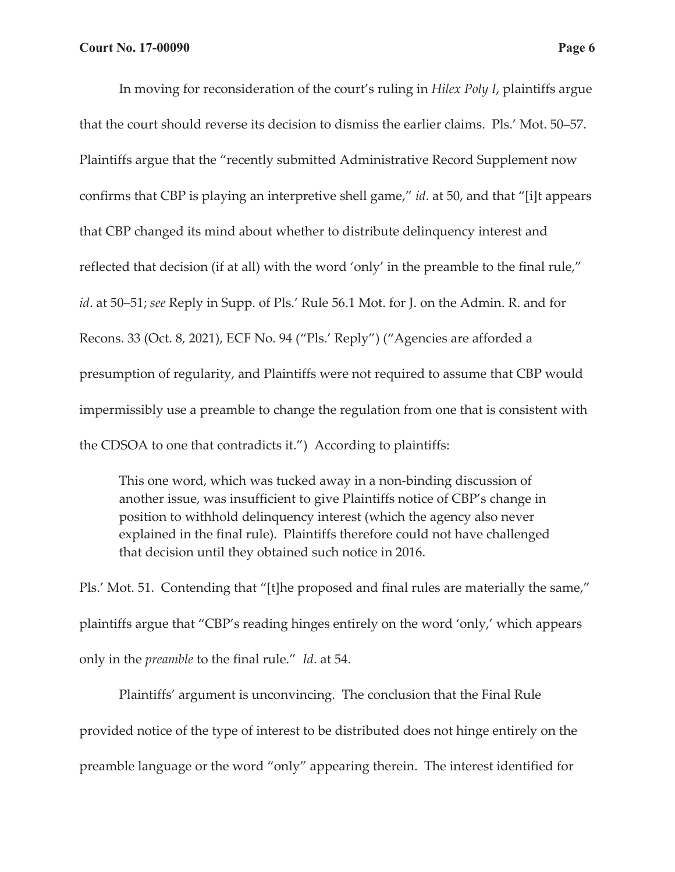In moving for reconsideration of the court's ruling in *Hilex Poly I*, plaintiffs argue that the court should reverse its decision to dismiss the earlier claims. Pls.' Mot. 50–57. Plaintiffs argue that the "recently submitted Administrative Record Supplement now confirms that CBP is playing an interpretive shell game," *id*. at 50, and that "[i]t appears that CBP changed its mind about whether to distribute delinquency interest and reflected that decision (if at all) with the word 'only' in the preamble to the final rule," *id*. at 50–51; *see* Reply in Supp. of Pls.' Rule 56.1 Mot. for J. on the Admin. R. and for Recons. 33 (Oct. 8, 2021), ECF No. 94 ("Pls.' Reply") ("Agencies are afforded a presumption of regularity, and Plaintiffs were not required to assume that CBP would impermissibly use a preamble to change the regulation from one that is consistent with the CDSOA to one that contradicts it.") According to plaintiffs:

This one word, which was tucked away in a non-binding discussion of another issue, was insufficient to give Plaintiffs notice of CBP's change in position to withhold delinquency interest (which the agency also never explained in the final rule). Plaintiffs therefore could not have challenged that decision until they obtained such notice in 2016.

Pls.' Mot. 51. Contending that "[t]he proposed and final rules are materially the same," plaintiffs argue that "CBP's reading hinges entirely on the word 'only,' which appears only in the *preamble* to the final rule." *Id*. at 54.

Plaintiffs' argument is unconvincing. The conclusion that the Final Rule provided notice of the type of interest to be distributed does not hinge entirely on the preamble language or the word "only" appearing therein. The interest identified for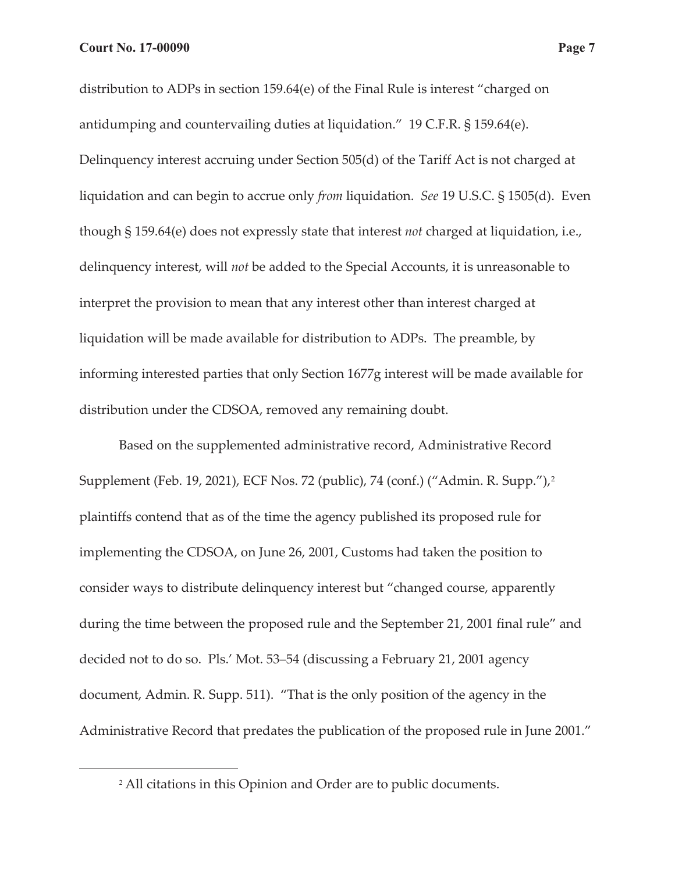distribution to ADPs in section 159.64(e) of the Final Rule is interest "charged on antidumping and countervailing duties at liquidation." 19 C.F.R. § 159.64(e). Delinquency interest accruing under Section 505(d) of the Tariff Act is not charged at liquidation and can begin to accrue only *from* liquidation. *See* 19 U.S.C. § 1505(d). Even though § 159.64(e) does not expressly state that interest *not* charged at liquidation, i.e., delinquency interest, will *not* be added to the Special Accounts, it is unreasonable to interpret the provision to mean that any interest other than interest charged at liquidation will be made available for distribution to ADPs. The preamble, by informing interested parties that only Section 1677g interest will be made available for distribution under the CDSOA, removed any remaining doubt.

Based on the supplemented administrative record, Administrative Record Supplement (Feb. 19, 2021), ECF Nos. 72 (public), 74 (conf.) ("Admin. R. Supp."),2 plaintiffs contend that as of the time the agency published its proposed rule for implementing the CDSOA, on June 26, 2001, Customs had taken the position to consider ways to distribute delinquency interest but "changed course, apparently during the time between the proposed rule and the September 21, 2001 final rule" and decided not to do so. Pls.' Mot. 53–54 (discussing a February 21, 2001 agency document, Admin. R. Supp. 511). "That is the only position of the agency in the Administrative Record that predates the publication of the proposed rule in June 2001."

<sup>2</sup> All citations in this Opinion and Order are to public documents.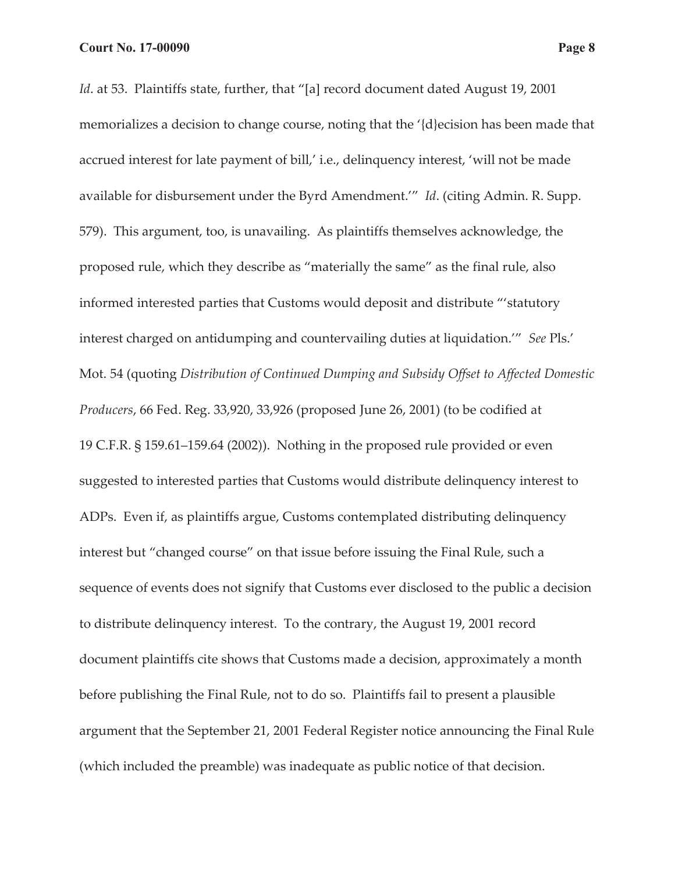*Id.* at 53. Plaintiffs state, further, that "[a] record document dated August 19, 2001 memorializes a decision to change course, noting that the '{d}ecision has been made that accrued interest for late payment of bill,' i.e., delinquency interest, 'will not be made available for disbursement under the Byrd Amendment.'" *Id*. (citing Admin. R. Supp. 579). This argument, too, is unavailing. As plaintiffs themselves acknowledge, the proposed rule, which they describe as "materially the same" as the final rule, also informed interested parties that Customs would deposit and distribute "'statutory interest charged on antidumping and countervailing duties at liquidation.'" *See* Pls.' Mot. 54 (quoting *Distribution of Continued Dumping and Subsidy Offset to Affected Domestic Producers*, 66 Fed. Reg. 33,920, 33,926 (proposed June 26, 2001) (to be codified at 19 C.F.R. § 159.61–159.64 (2002)). Nothing in the proposed rule provided or even suggested to interested parties that Customs would distribute delinquency interest to ADPs. Even if, as plaintiffs argue, Customs contemplated distributing delinquency interest but "changed course" on that issue before issuing the Final Rule, such a sequence of events does not signify that Customs ever disclosed to the public a decision to distribute delinquency interest. To the contrary, the August 19, 2001 record document plaintiffs cite shows that Customs made a decision, approximately a month before publishing the Final Rule, not to do so. Plaintiffs fail to present a plausible argument that the September 21, 2001 Federal Register notice announcing the Final Rule (which included the preamble) was inadequate as public notice of that decision.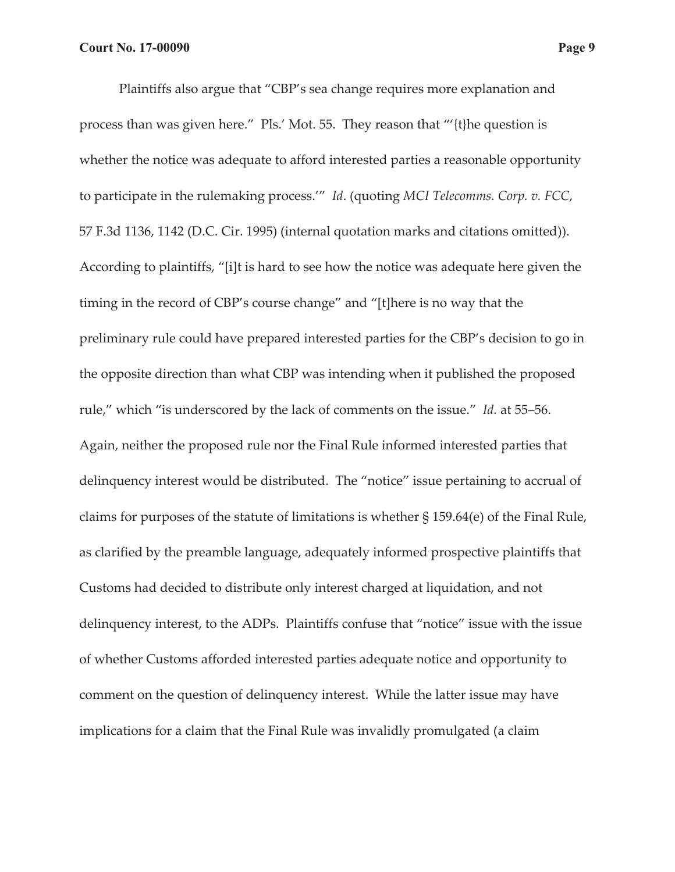Plaintiffs also argue that "CBP's sea change requires more explanation and process than was given here." Pls.' Mot. 55. They reason that "'{t}he question is whether the notice was adequate to afford interested parties a reasonable opportunity to participate in the rulemaking process.'" *Id*. (quoting *MCI Telecomms. Corp. v. FCC*, 57 F.3d 1136, 1142 (D.C. Cir. 1995) (internal quotation marks and citations omitted)). According to plaintiffs, "[i]t is hard to see how the notice was adequate here given the timing in the record of CBP's course change" and "[t]here is no way that the preliminary rule could have prepared interested parties for the CBP's decision to go in the opposite direction than what CBP was intending when it published the proposed rule," which "is underscored by the lack of comments on the issue." *Id.* at 55–56. Again, neither the proposed rule nor the Final Rule informed interested parties that delinquency interest would be distributed. The "notice" issue pertaining to accrual of claims for purposes of the statute of limitations is whether § 159.64(e) of the Final Rule, as clarified by the preamble language, adequately informed prospective plaintiffs that Customs had decided to distribute only interest charged at liquidation, and not delinquency interest, to the ADPs. Plaintiffs confuse that "notice" issue with the issue of whether Customs afforded interested parties adequate notice and opportunity to comment on the question of delinquency interest. While the latter issue may have implications for a claim that the Final Rule was invalidly promulgated (a claim